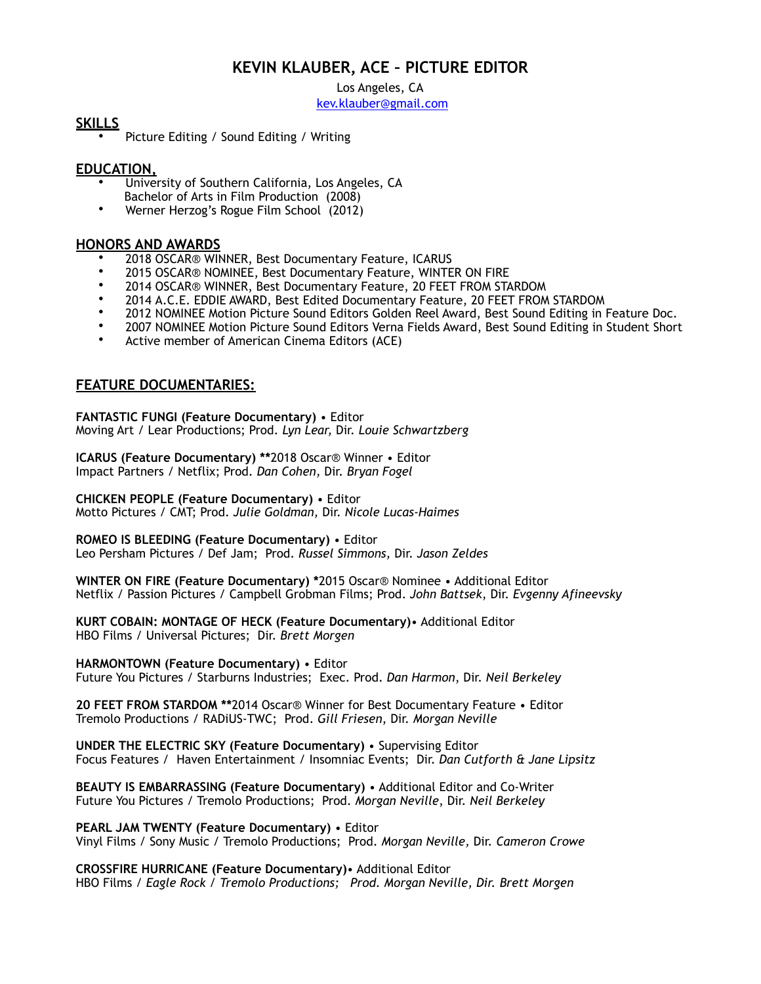# **KEVIN KLAUBER, ACE – PICTURE EDITOR**

Los Angeles, CA

kev.klauber@gmail.com

### **SKILLS**

• Picture Editing / Sound Editing / Writing

# **EDUCATION,**

- University of Southern California, Los Angeles, CA Bachelor of Arts in Film Production (2008)
- Werner Herzog's Rogue Film School (2012)

#### **HONORS AND AWARDS**

- 2018 OSCAR® WINNER, Best Documentary Feature, ICARUS<br>• 2015 OSCAR® NOMINEE, Best Documentary Feature, WINTE
- 2015 OSCAR® NOMINEE, Best Documentary Feature, WINTER ON FIRE
- 2014 OSCAR® WINNER, Best Documentary Feature, 20 FEET FROM STARDOM
- 2014 A.C.E. EDDIE AWARD, Best Edited Documentary Feature, 20 FEET FROM STARDOM
- 2012 NOMINEE Motion Picture Sound Editors Golden Reel Award, Best Sound Editing in Feature Doc.
- 2007 NOMINEE Motion Picture Sound Editors Verna Fields Award, Best Sound Editing in Student Short
- Active member of American Cinema Editors (ACE)

# **FEATURE DOCUMENTARIES:**

**FANTASTIC FUNGI (Feature Documentary)** • Editor Moving Art / Lear Productions; Prod. *Lyn Lear,* Dir. *Louie Schwartzberg*

**ICARUS (Feature Documentary) \*\***2018 Oscar® Winner • Editor Impact Partners / Netflix; Prod. *Dan Cohen,* Dir. *Bryan Fogel*

**CHICKEN PEOPLE (Feature Documentary)** • Editor Motto Pictures / CMT; Prod. *Julie Goldman,* Dir. *Nicole Lucas-Haimes* 

**ROMEO IS BLEEDING (Feature Documentary)** • Editor

Leo Persham Pictures / Def Jam; Prod. *Russel Simmons,* Dir. *Jason Zeldes* 

**WINTER ON FIRE (Feature Documentary) \***2015 Oscar® Nominee • Additional Editor Netflix / Passion Pictures / Campbell Grobman Films; Prod. *John Battsek*, Dir. *Evgenny Afineevsky* 

**KURT COBAIN: MONTAGE OF HECK (Feature Documentary)**• Additional Editor HBO Films / Universal Pictures; Dir. *Brett Morgen*

**HARMONTOWN (Feature Documentary)** • Editor

Future You Pictures / Starburns Industries; Exec. Prod. *Dan Harmon*, Dir. *Neil Berkeley* 

**20 FEET FROM STARDOM \*\***2014 Oscar® Winner for Best Documentary Feature • Editor Tremolo Productions / RADiUS-TWC; Prod. *Gill Friesen*, Dir. *Morgan Neville* 

**UNDER THE ELECTRIC SKY (Feature Documentary)** • Supervising Editor Focus Features / Haven Entertainment / Insomniac Events; Dir. *Dan Cutforth & Jane Lipsitz* 

**BEAUTY IS EMBARRASSING (Feature Documentary)** • Additional Editor and Co-Writer Future You Pictures / Tremolo Productions; Prod. *Morgan Neville*, Dir. *Neil Berkeley* 

**PEARL JAM TWENTY (Feature Documentary)** • Editor Vinyl Films / Sony Music / Tremolo Productions; Prod. *Morgan Neville,* Dir. *Cameron Crowe* 

**CROSSFIRE HURRICANE (Feature Documentary)**• Additional Editor HBO Films / *Eagle Rock / Tremolo Productions; Prod. Morgan Neville, Dir. Brett Morgen*